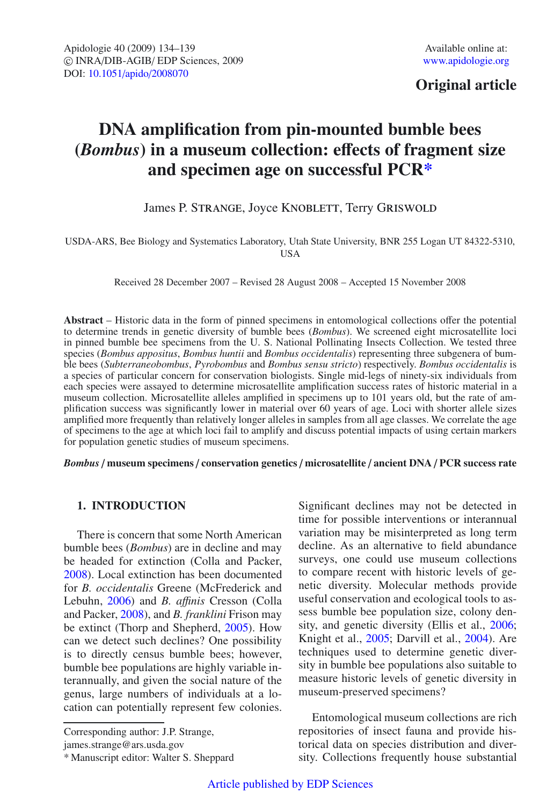## **Original article**

# **DNA amplification from pin-mounted bumble bees (***Bombus***) in a museum collection: e**ff**ects of fragment size and specimen age on successful PCR\***

## James P. STRANGE, Joyce KNOBLETT, Terry GRISWOLD

USDA-ARS, Bee Biology and Systematics Laboratory, Utah State University, BNR 255 Logan UT 84322-5310, USA

Received 28 December 2007 – Revised 28 August 2008 – Accepted 15 November 2008

**Abstract** – Historic data in the form of pinned specimens in entomological collections offer the potential to determine trends in genetic diversity of bumble bees (*Bombus*). We screened eight microsatellite loci in pinned bumble bee specimens from the U. S. National Pollinating Insects Collection. We tested three species (*Bombus appositus*, *Bombus huntii* and *Bombus occidentalis*) representing three subgenera of bumble bees (*Subterraneobombus*, *Pyrobombus* and *Bombus sensu stricto*) respectively. *Bombus occidentalis* is a species of particular concern for conservation biologists. Single mid-legs of ninety-six individuals from each species were assayed to determine microsatellite amplification success rates of historic material in a museum collection. Microsatellite alleles amplified in specimens up to 101 years old, but the rate of amplification success was significantly lower in material over 60 years of age. Loci with shorter allele sizes amplified more frequently than relatively longer alleles in samples from all age classes. We correlate the age of specimens to the age at which loci fail to amplify and discuss potential impacts of using certain markers for population genetic studies of museum specimens.

*Bombus* / **museum specimens** / **conservation genetics** / **microsatellite** / **ancient DNA** / **PCR success rate**

#### **1. INTRODUCTION**

There is concern that some North American bumble bees (*Bombus*) are in decline and may be headed for extinction (Colla and Packer, [2008\)](#page-5-0). Local extinction has been documented for *B. occidentalis* Greene (McFrederick and Lebuhn, [2006\)](#page-5-1) and *B. a*ffi*nis* Cresson (Colla and Packer, [2008\)](#page-5-0), and *B. franklini* Frison may be extinct (Thorp and Shepherd, [2005\)](#page-5-2). How can we detect such declines? One possibility is to directly census bumble bees; however, bumble bee populations are highly variable interannually, and given the social nature of the genus, large numbers of individuals at a location can potentially represent few colonies.

Corresponding author: J.P. Strange,

james.strange@ars.usda.gov

Significant declines may not be detected in time for possible interventions or interannual variation may be misinterpreted as long term decline. As an alternative to field abundance surveys, one could use museum collections to compare recent with historic levels of genetic diversity. Molecular methods provide useful conservation and ecological tools to assess bumble bee population size, colony density, and genetic diversity (Ellis et al., [2006;](#page-5-3) Knight et al., [2005](#page-5-4); Darvill et al., [2004\)](#page-5-5). Are techniques used to determine genetic diversity in bumble bee populations also suitable to measure historic levels of genetic diversity in museum-preserved specimens?

Entomological museum collections are rich repositories of insect fauna and provide historical data on species distribution and diversity. Collections frequently house substantial

<sup>\*</sup> Manuscript editor: Walter S. Sheppard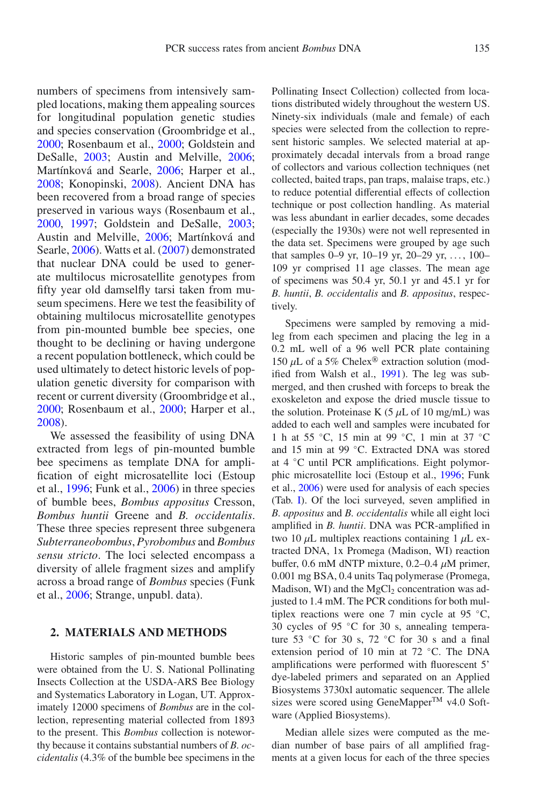numbers of specimens from intensively sampled locations, making them appealing sources for longitudinal population genetic studies and species conservation (Groombridge et al., [2000](#page-5-6); Rosenbaum et al., [2000](#page-5-7); Goldstein and DeSalle, [2003;](#page-5-8) Austin and Melville, [2006;](#page-5-9) Martínková and Searle, [2006;](#page-5-10) Harper et al., [2008](#page-5-11); Konopinski, [2008\)](#page-5-12). Ancient DNA has been recovered from a broad range of species preserved in various ways (Rosenbaum et al., [2000](#page-5-7), [1997;](#page-5-13) Goldstein and DeSalle, [2003;](#page-5-8) Austin and Melville, [2006;](#page-5-9) Martínková and Searle, [2006\)](#page-5-10). Watts et al. [\(2007\)](#page-5-14) demonstrated that nuclear DNA could be used to generate multilocus microsatellite genotypes from fifty year old damselfly tarsi taken from museum specimens. Here we test the feasibility of obtaining multilocus microsatellite genotypes from pin-mounted bumble bee species, one thought to be declining or having undergone a recent population bottleneck, which could be used ultimately to detect historic levels of population genetic diversity for comparison with recent or current diversity (Groombridge et al., [2000](#page-5-6); Rosenbaum et al., [2000;](#page-5-7) Harper et al., [2008](#page-5-11)).

We assessed the feasibility of using DNA extracted from legs of pin-mounted bumble bee specimens as template DNA for amplification of eight microsatellite loci (Estoup et al., [1996;](#page-5-15) Funk et al., [2006](#page-5-16)) in three species of bumble bees, *Bombus appositus* Cresson, *Bombus huntii* Greene and *B. occidentalis*. These three species represent three subgenera *Subterraneobombus*,*Pyrobombus* and *Bombus sensu stricto*. The loci selected encompass a diversity of allele fragment sizes and amplify across a broad range of *Bombus* species (Funk et al., [2006;](#page-5-16) Strange, unpubl. data).

#### **2. MATERIALS AND METHODS**

Historic samples of pin-mounted bumble bees were obtained from the U. S. National Pollinating Insects Collection at the USDA-ARS Bee Biology and Systematics Laboratory in Logan, UT. Approximately 12000 specimens of *Bombus* are in the collection, representing material collected from 1893 to the present. This *Bombus* collection is noteworthy because it contains substantial numbers of *B. occidentalis* (4.3% of the bumble bee specimens in the Pollinating Insect Collection) collected from locations distributed widely throughout the western US. Ninety-six individuals (male and female) of each species were selected from the collection to represent historic samples. We selected material at approximately decadal intervals from a broad range of collectors and various collection techniques (net collected, baited traps, pan traps, malaise traps, etc.) to reduce potential differential effects of collection technique or post collection handling. As material was less abundant in earlier decades, some decades (especially the 1930s) were not well represented in the data set. Specimens were grouped by age such that samples 0–9 yr, 10–19 yr, 20–29 yr, ..., 100– 109 yr comprised 11 age classes. The mean age of specimens was 50.4 yr, 50.1 yr and 45.1 yr for *B. huntii*, *B. occidentalis* and *B. appositus*, respectively.

Specimens were sampled by removing a midleg from each specimen and placing the leg in a 0.2 mL well of a 96 well PCR plate containing 150  $\mu$ L of a 5% Chelex<sup>®</sup> extraction solution (modified from Walsh et al., [1991](#page-5-17)). The leg was submerged, and then crushed with forceps to break the exoskeleton and expose the dried muscle tissue to the solution. Proteinase K  $(5 \mu L)$  of 10 mg/mL) was added to each well and samples were incubated for 1 h at 55 ◦C, 15 min at 99 ◦C, 1 min at 37 ◦C and 15 min at 99 ◦C. Extracted DNA was stored at 4 ◦C until PCR amplifications. Eight polymorphic microsatellite loci (Estoup et al., [1996;](#page-5-15) Funk et al., [2006](#page-5-16)) were used for analysis of each species (Tab. [I\)](#page-2-0). Of the loci surveyed, seven amplified in *B. appositus* and *B. occidentalis* while all eight loci amplified in *B. huntii*. DNA was PCR-amplified in two 10  $\mu$ L multiplex reactions containing 1  $\mu$ L extracted DNA, 1x Promega (Madison, WI) reaction buffer, 0.6 mM dNTP mixture, 0.2–0.4  $\mu$ M primer, 0.001 mg BSA, 0.4 units Taq polymerase (Promega, Madison, WI) and the  $MgCl<sub>2</sub>$  concentration was adjusted to 1.4 mM. The PCR conditions for both multiplex reactions were one 7 min cycle at 95 ◦C, 30 cycles of 95 ◦C for 30 s, annealing temperature 53 ◦C for 30 s, 72 ◦C for 30 s and a final extension period of 10 min at 72 ◦C. The DNA amplifications were performed with fluorescent 5' dye-labeled primers and separated on an Applied Biosystems 3730xl automatic sequencer. The allele sizes were scored using GeneMapper™ v4.0 Software (Applied Biosystems).

Median allele sizes were computed as the median number of base pairs of all amplified fragments at a given locus for each of the three species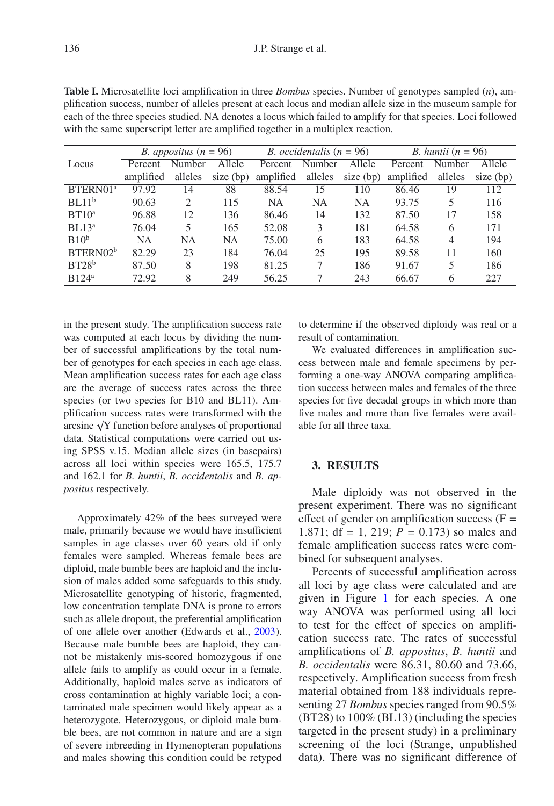<span id="page-2-0"></span>**Table I.** Microsatellite loci amplification in three *Bombus* species. Number of genotypes sampled (*n*), amplification success, number of alleles present at each locus and median allele size in the museum sample for each of the three species studied. NA denotes a locus which failed to amplify for that species. Loci followed with the same superscript letter are amplified together in a multiplex reaction.

|                      | <i>B. appositus</i> $(n = 96)$ |                |           | <i>B. occidentalis</i> $(n = 96)$ |           |             | <i>B.</i> huntii $(n = 96)$ |                |             |
|----------------------|--------------------------------|----------------|-----------|-----------------------------------|-----------|-------------|-----------------------------|----------------|-------------|
| Locus                | Percent                        | Number         | Allele    | Percent                           | Number    | Allele      | Percent                     | Number         | Allele      |
|                      | amplified                      | alleles        | size (bp) | amplified                         | alleles   | size $(bp)$ | amplified                   | alleles        | size $(bp)$ |
| BTERN01 <sup>a</sup> | 97.92                          | 14             | 88        | 88.54                             | 15        | 110         | 86.46                       | 19             | 112         |
| BL11 <sup>b</sup>    | 90.63                          | $\overline{2}$ | 115       | <b>NA</b>                         | <b>NA</b> | <b>NA</b>   | 93.75                       | 5              | 116         |
| BT10 <sup>a</sup>    | 96.88                          | 12             | 136       | 86.46                             | 14        | 132         | 87.50                       | 17             | 158         |
| BL13 <sup>a</sup>    | 76.04                          | 5              | 165       | 52.08                             | 3         | 181         | 64.58                       | 6              | 171         |
| B10 <sup>b</sup>     | <b>NA</b>                      | <b>NA</b>      | <b>NA</b> | 75.00                             | 6         | 183         | 64.58                       | $\overline{4}$ | 194         |
| BTERN02 <sup>b</sup> | 82.29                          | 23             | 184       | 76.04                             | 25        | 195         | 89.58                       | 11             | 160         |
| $BT28^b$             | 87.50                          | 8              | 198       | 81.25                             | 7         | 186         | 91.67                       | 5              | 186         |
| B124 <sup>a</sup>    | 72.92                          | 8              | 249       | 56.25                             | 7         | 243         | 66.67                       | 6              | 227         |

in the present study. The amplification success rate was computed at each locus by dividing the number of successful amplifications by the total number of genotypes for each species in each age class. Mean amplification success rates for each age class are the average of success rates across the three species (or two species for B10 and BL11). Amplification success rates were transformed with the arcsine √ Y function before analyses of proportional data. Statistical computations were carried out using SPSS v.15. Median allele sizes (in basepairs) across all loci within species were 165.5, 175.7 and 162.1 for *B. huntii*, *B. occidentalis* and *B. appositus* respectively.

Approximately 42% of the bees surveyed were male, primarily because we would have insufficient samples in age classes over 60 years old if only females were sampled. Whereas female bees are diploid, male bumble bees are haploid and the inclusion of males added some safeguards to this study. Microsatellite genotyping of historic, fragmented, low concentration template DNA is prone to errors such as allele dropout, the preferential amplification of one allele over another (Edwards et al., [2003\)](#page-5-18). Because male bumble bees are haploid, they cannot be mistakenly mis-scored homozygous if one allele fails to amplify as could occur in a female. Additionally, haploid males serve as indicators of cross contamination at highly variable loci; a contaminated male specimen would likely appear as a heterozygote. Heterozygous, or diploid male bumble bees, are not common in nature and are a sign of severe inbreeding in Hymenopteran populations and males showing this condition could be retyped to determine if the observed diploidy was real or a result of contamination.

We evaluated differences in amplification success between male and female specimens by performing a one-way ANOVA comparing amplification success between males and females of the three species for five decadal groups in which more than five males and more than five females were available for all three taxa.

### **3. RESULTS**

Male diploidy was not observed in the present experiment. There was no significant effect of gender on amplification success  $(F =$ 1.871; df = 1, 219; *P* = 0.173) so males and female amplification success rates were combined for subsequent analyses.

Percents of successful amplification across all loci by age class were calculated and are given in Figure [1](#page-3-0) for each species. A one way ANOVA was performed using all loci to test for the effect of species on amplification success rate. The rates of successful amplifications of *B. appositus*, *B. huntii* and *B. occidentalis* were 86.31, 80.60 and 73.66, respectively. Amplification success from fresh material obtained from 188 individuals representing 27 *Bombus* species ranged from 90.5% (BT28) to 100% (BL13) (including the species targeted in the present study) in a preliminary screening of the loci (Strange, unpublished data). There was no significant difference of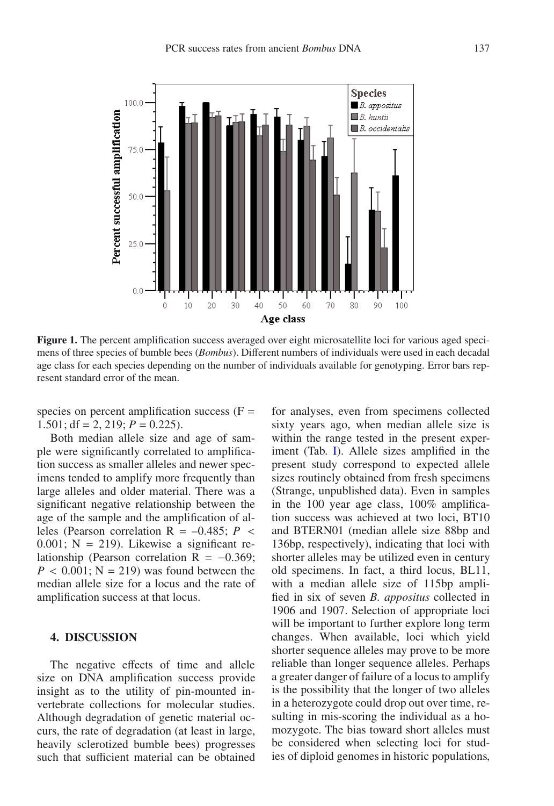<span id="page-3-0"></span>

**Figure 1.** The percent amplification success averaged over eight microsatellite loci for various aged specimens of three species of bumble bees (*Bombus*). Different numbers of individuals were used in each decadal age class for each species depending on the number of individuals available for genotyping. Error bars represent standard error of the mean.

species on percent amplification success  $(F =$ 1.501;  $df = 2$ , 219;  $P = 0.225$ ).

Both median allele size and age of sample were significantly correlated to amplification success as smaller alleles and newer specimens tended to amplify more frequently than large alleles and older material. There was a significant negative relationship between the age of the sample and the amplification of alleles (Pearson correlation R =  $-0.485$ ; P <  $0.001$ ; N = 219). Likewise a significant relationship (Pearson correlation  $R = -0.369$ ;  $P < 0.001$ ; N = 219) was found between the median allele size for a locus and the rate of amplification success at that locus.

#### **4. DISCUSSION**

The negative effects of time and allele size on DNA amplification success provide insight as to the utility of pin-mounted invertebrate collections for molecular studies. Although degradation of genetic material occurs, the rate of degradation (at least in large, heavily sclerotized bumble bees) progresses such that sufficient material can be obtained for analyses, even from specimens collected sixty years ago, when median allele size is within the range tested in the present experiment (Tab. [I\)](#page-2-0). Allele sizes amplified in the present study correspond to expected allele sizes routinely obtained from fresh specimens (Strange, unpublished data). Even in samples in the 100 year age class, 100% amplification success was achieved at two loci, BT10 and BTERN01 (median allele size 88bp and 136bp, respectively), indicating that loci with shorter alleles may be utilized even in century old specimens. In fact, a third locus, BL11, with a median allele size of 115bp amplified in six of seven *B. appositus* collected in 1906 and 1907. Selection of appropriate loci will be important to further explore long term changes. When available, loci which yield shorter sequence alleles may prove to be more reliable than longer sequence alleles. Perhaps a greater danger of failure of a locus to amplify is the possibility that the longer of two alleles in a heterozygote could drop out over time, resulting in mis-scoring the individual as a homozygote. The bias toward short alleles must be considered when selecting loci for studies of diploid genomes in historic populations,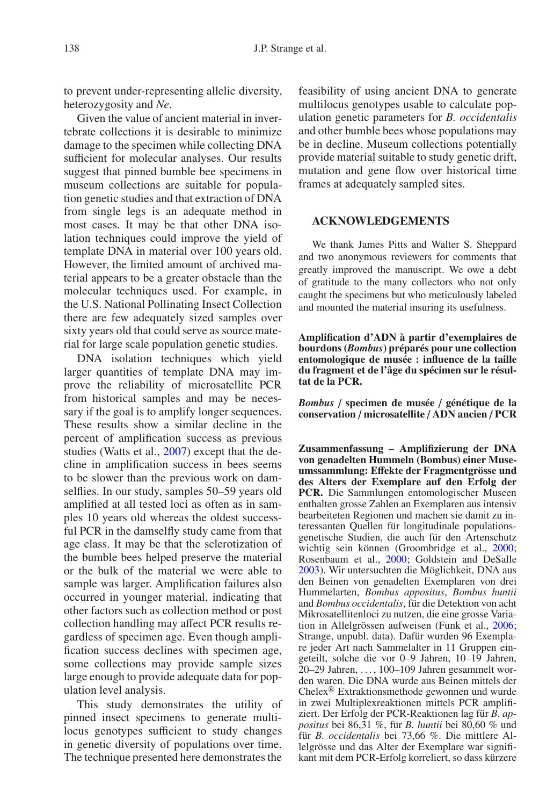to prevent under-representing allelic diversity, heterozygosity and *Ne*.

Given the value of ancient material in invertebrate collections it is desirable to minimize damage to the specimen while collecting DNA sufficient for molecular analyses. Our results suggest that pinned bumble bee specimens in museum collections are suitable for population genetic studies and that extraction of DNA from single legs is an adequate method in most cases. It may be that other DNA isolation techniques could improve the yield of template DNA in material over 100 years old. However, the limited amount of archived material appears to be a greater obstacle than the molecular techniques used. For example, in the U.S. National Pollinating Insect Collection there are few adequately sized samples over sixty years old that could serve as source material for large scale population genetic studies.

DNA isolation techniques which yield larger quantities of template DNA may improve the reliability of microsatellite PCR from historical samples and may be necessary if the goal is to amplify longer sequences. These results show a similar decline in the percent of amplification success as previous studies (Watts et al., [2007\)](#page-5-14) except that the decline in amplification success in bees seems to be slower than the previous work on damselflies. In our study, samples 50–59 years old amplified at all tested loci as often as in samples 10 years old whereas the oldest successful PCR in the damselfly study came from that age class. It may be that the sclerotization of the bumble bees helped preserve the material or the bulk of the material we were able to sample was larger. Amplification failures also occurred in younger material, indicating that other factors such as collection method or post collection handling may affect PCR results regardless of specimen age. Even though amplification success declines with specimen age, some collections may provide sample sizes large enough to provide adequate data for population level analysis.

This study demonstrates the utility of pinned insect specimens to generate multilocus genotypes sufficient to study changes in genetic diversity of populations over time. The technique presented here demonstrates the

feasibility of using ancient DNA to generate multilocus genotypes usable to calculate population genetic parameters for *B. occidentalis* and other bumble bees whose populations may be in decline. Museum collections potentially provide material suitable to study genetic drift, mutation and gene flow over historical time frames at adequately sampled sites.

#### **ACKNOWLEDGEMENTS**

We thank James Pitts and Walter S. Sheppard and two anonymous reviewers for comments that greatly improved the manuscript. We owe a debt of gratitude to the many collectors who not only caught the specimens but who meticulously labeled and mounted the material insuring its usefulness.

**Amplification d'ADN à partir d'exemplaires de bourdons (***Bombus***) préparés pour une collection entomologique de musée : influence de la taille du fragment et de l'âge du spécimen sur le résultat de la PCR.**

*Bombus* / **specimen de musée** / **génétique de la conservation** / **microsatellite** / **ADN ancien** / **PCR**

**Zusammenfassung** – **Amplifizierung der DNA von genadelten Hummeln (Bombus) einer Museumssammlung: E**ff**ekte der Fragmentgrösse und des Alters der Exemplare auf den Erfolg der PCR.** Die Sammlungen entomologischer Museen enthalten grosse Zahlen an Exemplaren aus intensiv bearbeiteten Regionen und machen sie damit zu interessanten Quellen für longitudinale populationsgenetische Studien, die auch für den Artenschutz wichtig sein können (Groombridge et al., [2000](#page-5-6); Rosenbaum et al., [2000;](#page-5-7) Goldstein and DeSalle [2003](#page-5-8)). Wir untersuchten die Möglichkeit, DNA aus den Beinen von genadelten Exemplaren von drei Hummelarten, *Bombus appositus*, *Bombus huntii* and *Bombus occidentalis*, für die Detektion von acht Mikrosatellitenloci zu nutzen, die eine grosse Variation in Allelgrössen aufweisen (Funk et al., [2006](#page-5-16); Strange, unpubl. data). Dafür wurden 96 Exemplare jeder Art nach Sammelalter in 11 Gruppen eingeteilt, solche die vor 0–9 Jahren, 10–19 Jahren, 20–29 Jahren, ..., 100–109 Jahren gesammelt worden waren. Die DNA wurde aus Beinen mittels der Chelex- Extraktionsmethode gewonnen und wurde in zwei Multiplexreaktionen mittels PCR amplifiziert. Der Erfolg der PCR-Reaktionen lag für *B. appositus* bei 86,31 %, für *B. huntii* bei 80,60 % und für *B. occidentalis* bei 73,66 %. Die mittlere Allelgrösse und das Alter der Exemplare war signifikant mit dem PCR-Erfolg korreliert, so dass kürzere